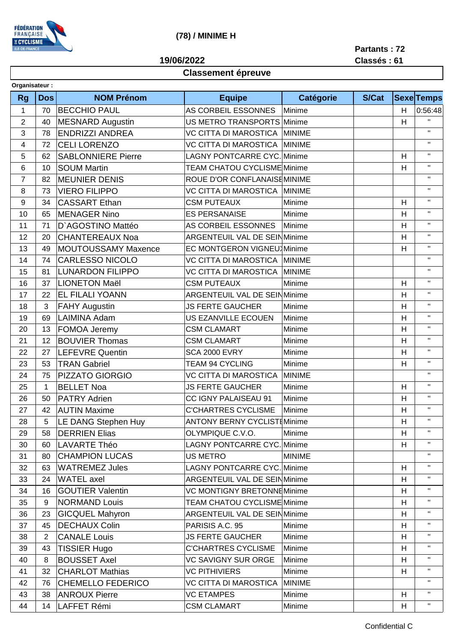

## (78) / MINIME H

19/06/2022

Partants: 72 Classés: 61

## **Classement épreuve**

| Organisateur:  |                |                            |                                        |                             |              |                           |                   |
|----------------|----------------|----------------------------|----------------------------------------|-----------------------------|--------------|---------------------------|-------------------|
| <b>Rg</b>      | <b>Dos</b>     | <b>NOM Prénom</b>          | <b>Equipe</b>                          | <b>Catégorie</b>            | <b>S/Cat</b> |                           | <b>Sexe</b> Temps |
| 1              | 70             | <b>BECCHIO PAUL</b>        | AS CORBEIL ESSONNES<br>Minime          |                             |              | H                         | 0:56:48           |
| $\overline{2}$ | 40             | <b>MESNARD Augustin</b>    | US METRO TRANSPORTS Minime             |                             |              | H                         | H.                |
| 3              | 78             | <b>ENDRIZZI ANDREA</b>     | VC CITTA DI MAROSTICA MINIME           |                             |              |                           | $\mathbf{H}$      |
| 4              | 72             | <b>CELI LORENZO</b>        | VC CITTA DI MAROSTICA<br><b>MINIME</b> |                             |              |                           | $\mathbf H$       |
| 5              | 62             | <b>SABLONNIERE Pierre</b>  |                                        | LAGNY PONTCARRE CYC. Minime |              | H                         | $\mathbf H$       |
| 6              | 10             | <b>SOUM Martin</b>         | TEAM CHATOU CYCLISME Minime            |                             |              | H                         | $\mathbf{H}$      |
| $\overline{7}$ | 82             | <b>MEUNIER DENIS</b>       | ROUE D'OR CONFLANAISEMINIME            |                             |              |                           | $\mathbf H$       |
| 8              | 73             | <b>VIERO FILIPPO</b>       | VC CITTA DI MAROSTICA                  | <b>MINIME</b>               |              |                           | $\mathbf{H}$      |
| 9              | 34             | <b>CASSART Ethan</b>       | <b>CSM PUTEAUX</b>                     | Minime                      |              | H                         | $\mathbf H$       |
| 10             | 65             | <b>MENAGER Nino</b>        | <b>ES PERSANAISE</b>                   | Minime                      |              | H                         | $\mathbf H$       |
| 11             | 71             | D'AGOSTINO Mattéo          | AS CORBEIL ESSONNES<br>Minime          |                             |              | H                         | $\mathbf H$       |
| 12             | 20             | <b>CHANTEREAUX Noa</b>     | ARGENTEUIL VAL DE SEINMinime           |                             |              | H                         | $\mathbf H$       |
| 13             | 49             | <b>MOUTOUSSAMY Maxence</b> | <b>EC MONTGERON VIGNEU Minime</b>      |                             |              | H                         | $\mathbf H$       |
| 14             | 74             | <b>CARLESSO NICOLO</b>     | VC CITTA DI MAROSTICA                  | <b>MINIME</b>               |              |                           | $\mathbf{H}$      |
| 15             | 81             | <b>LUNARDON FILIPPO</b>    | VC CITTA DI MAROSTICA                  | <b>MINIME</b>               |              |                           | $\mathbf H$       |
| 16             | 37             | <b>LIONETON Maël</b>       | <b>CSM PUTEAUX</b>                     | Minime                      |              | H                         | $\mathbf H$       |
| 17             | 22             | <b>EL FILALI YOANN</b>     | <b>ARGENTEUIL VAL DE SEINMinime</b>    |                             |              | H                         | $\mathbf H$       |
| 18             | 3              | <b>FAHY Augustin</b>       | <b>JS FERTE GAUCHER</b>                | Minime                      |              | H                         | $\mathbf H$       |
| 19             | 69             | <b>LAIMINA Adam</b>        | US EZANVILLE ECOUEN                    | Minime                      |              | H                         | $\mathbf H$       |
| 20             | 13             | FOMOA Jeremy               | <b>CSM CLAMART</b>                     | Minime                      |              | H                         | $\mathbf{H}$      |
| 21             | 12             | <b>BOUVIER Thomas</b>      | <b>CSM CLAMART</b>                     | Minime                      |              | H                         | $\mathbf H$       |
| 22             | 27             | <b>LEFEVRE Quentin</b>     | <b>SCA 2000 EVRY</b>                   | Minime                      |              | H                         | $\mathbf H$       |
| 23             | 53             | <b>TRAN Gabriel</b>        | <b>TEAM 94 CYCLING</b>                 | Minime                      |              | H                         | $\mathbf H$       |
| 24             | 75             | <b>PIZZATO GIORGIO</b>     | VC CITTA DI MAROSTICA                  | <b>MINIME</b>               |              |                           | $\mathbf{H}$      |
| 25             | 1              | <b>BELLET Noa</b>          | <b>JS FERTE GAUCHER</b>                | Minime                      |              | H                         | $\mathbf H$       |
| 26             | 50             | <b>PATRY Adrien</b>        | CC IGNY PALAISEAU 91                   | Minime                      |              | H                         | $\mathbf H$       |
| 27             | 42             | <b>AUTIN Maxime</b>        | <b>C'CHARTRES CYCLISME</b>             | Minime                      |              | H                         | $\mathbf H$       |
| 28             | 5              | LE DANG Stephen Huy        | <b>ANTONY BERNY CYCLIST Minime</b>     |                             |              | $\boldsymbol{\mathsf{H}}$ | $\mathbf{H}$      |
| 29             | 58             | <b>DERRIEN Elias</b>       | OLYMPIQUE C.V.O.                       | Minime                      |              | H                         | $\mathbf{H}$      |
| 30             | 60             | LAVARTE Théo               | <b>LAGNY PONTCARRE CYC. Minime</b>     |                             |              | H                         | $\mathbf H$       |
| 31             | 80             | <b>CHAMPION LUCAS</b>      | US METRO                               | <b>MINIME</b>               |              |                           | п.                |
| 32             | 63             | <b>WATREMEZ Jules</b>      | <b>LAGNY PONTCARRE CYC.</b> Minime     |                             |              | H                         | $\mathbf H$       |
| 33             | 24             | WATEL axel                 | ARGENTEUIL VAL DE SEINMinime           |                             |              | H                         | $\mathbf{H}$      |
| 34             | 16             | <b>GOUTIER Valentin</b>    | VC MONTIGNY BRETONNEMinime             |                             |              | H                         | $\mathbf H$       |
| 35             | 9              | <b>NORMAND Louis</b>       | TEAM CHATOU CYCLISME Minime            |                             |              | H                         | $\mathbf{H}$      |
| 36             | 23             | <b>GICQUEL Mahyron</b>     | <b>ARGENTEUIL VAL DE SEINMinime</b>    |                             |              | H                         | $\mathbf H$       |
| 37             | 45             | <b>DECHAUX Colin</b>       | PARISIS A.C. 95                        | Minime                      |              | H                         | $\mathbf{H}$      |
| 38             | $\overline{2}$ | <b>CANALE Louis</b>        | <b>JS FERTE GAUCHER</b>                | Minime                      |              | H                         | $\mathbf H$       |
| 39             | 43             | <b>TISSIER Hugo</b>        | <b>C'CHARTRES CYCLISME</b>             | Minime                      |              | H                         | $\mathbf H$       |
| 40             | 8              | <b>BOUSSET Axel</b>        | <b>VC SAVIGNY SUR ORGE</b>             | Minime                      |              | H                         | $\mathbf H$       |
| 41             | 32             | <b>CHARLOT Mathias</b>     | <b>VC PITHIVIERS</b>                   | Minime                      |              | H                         | $\mathbf{H}$      |
| 42             | 76             | <b>CHEMELLO FEDERICO</b>   | VC CITTA DI MAROSTICA                  | <b>MINIME</b>               |              |                           | $\mathbf{H}$      |
| 43             | 38             | <b>ANROUX Pierre</b>       | <b>VC ETAMPES</b>                      | Minime                      |              | H                         | $\mathbf H$       |
| 44             | 14             | LAFFET Rémi                | <b>CSM CLAMART</b>                     | Minime                      |              | H                         | $\mathbf{H}$      |